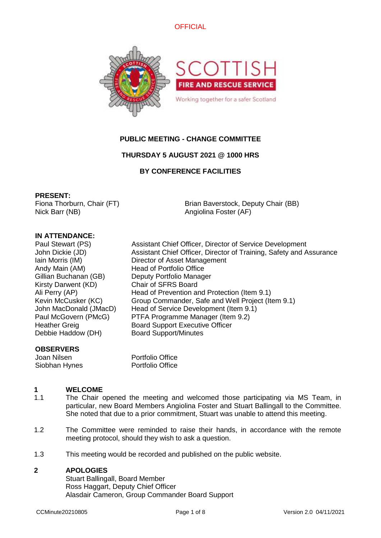



# **PUBLIC MEETING - CHANGE COMMITTEE**

# **THURSDAY 5 AUGUST 2021 @ 1000 HRS**

# **BY CONFERENCE FACILITIES**

## **PRESENT:**

Fiona Thorburn, Chair (FT) Nick Barr (NB)

Brian Baverstock, Deputy Chair (BB) Angiolina Foster (AF)

# **IN ATTENDANCE:**

Andy Main (AM) Head of Portfolio Office Gillian Buchanan (GB) Deputy Portfolio Manager Kirsty Darwent (KD) Chair of SFRS Board Debbie Haddow (DH) Board Support/Minutes

Paul Stewart (PS) Assistant Chief Officer, Director of Service Development John Dickie (JD) Assistant Chief Officer, Director of Training, Safety and Assurance Iain Morris (IM) Director of Asset Management Ali Perry (AP) Head of Prevention and Protection (Item 9.1) Kevin McCusker (KC) Group Commander, Safe and Well Project (Item 9.1) John MacDonald (JMacD) Head of Service Development (Item 9.1) Paul McGovern (PMcG) PTFA Programme Manager (Item 9.2) Heather Greig Board Support Executive Officer

# **OBSERVERS**

Joan Nilsen Portfolio Office Siobhan Hynes Portfolio Office

### **1 WELCOME**

- 1.1 The Chair opened the meeting and welcomed those participating via MS Team, in particular, new Board Members Angiolina Foster and Stuart Ballingall to the Committee. She noted that due to a prior commitment, Stuart was unable to attend this meeting.
- 1.2 The Committee were reminded to raise their hands, in accordance with the remote meeting protocol, should they wish to ask a question.
- 1.3 This meeting would be recorded and published on the public website.

## **2 APOLOGIES**

Stuart Ballingall, Board Member Ross Haggart, Deputy Chief Officer Alasdair Cameron, Group Commander Board Support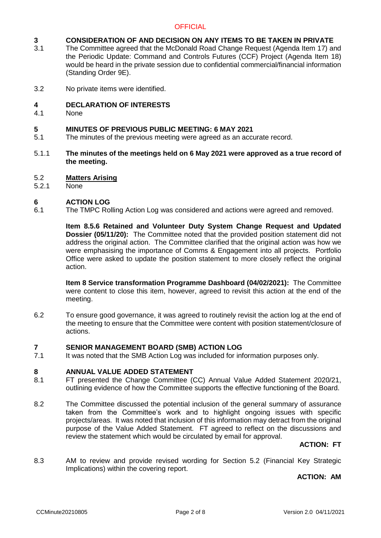### **3 CONSIDERATION OF AND DECISION ON ANY ITEMS TO BE TAKEN IN PRIVATE**

- 3.1 The Committee agreed that the McDonald Road Change Request (Agenda Item 17) and the Periodic Update: Command and Controls Futures (CCF) Project (Agenda Item 18) would be heard in the private session due to confidential commercial/financial information (Standing Order 9E).
- 3.2 No private items were identified.

### **4 DECLARATION OF INTERESTS**

4.1 **None** 

#### **5 MINUTES OF PREVIOUS PUBLIC MEETING: 6 MAY 2021**

- 5.1 The minutes of the previous meeting were agreed as an accurate record.
- 5.1.1 **The minutes of the meetings held on 6 May 2021 were approved as a true record of the meeting.**

### 5.2 **Matters Arising**

5.2.1 None

### **6 ACTION LOG**

6.1 The TMPC Rolling Action Log was considered and actions were agreed and removed.

> **Item 8.5.6 Retained and Volunteer Duty System Change Request and Updated Dossier (05/11/20):** The Committee noted that the provided position statement did not address the original action. The Committee clarified that the original action was how we were emphasising the importance of Comms & Engagement into all projects. Portfolio Office were asked to update the position statement to more closely reflect the original action.

> **Item 8 Service transformation Programme Dashboard (04/02/2021):** The Committee were content to close this item, however, agreed to revisit this action at the end of the meeting.

6.2 To ensure good governance, it was agreed to routinely revisit the action log at the end of the meeting to ensure that the Committee were content with position statement/closure of actions.

## **7 SENIOR MANAGEMENT BOARD (SMB) ACTION LOG**

7.1 It was noted that the SMB Action Log was included for information purposes only.

### **8 ANNUAL VALUE ADDED STATEMENT**

- 8.1 FT presented the Change Committee (CC) Annual Value Added Statement 2020/21, outlining evidence of how the Committee supports the effective functioning of the Board.
- 8.2 The Committee discussed the potential inclusion of the general summary of assurance taken from the Committee's work and to highlight ongoing issues with specific projects/areas. It was noted that inclusion of this information may detract from the original purpose of the Value Added Statement. FT agreed to reflect on the discussions and review the statement which would be circulated by email for approval.

## **ACTION: FT**

8.3 AM to review and provide revised wording for Section 5.2 (Financial Key Strategic Implications) within the covering report.

## **ACTION: AM**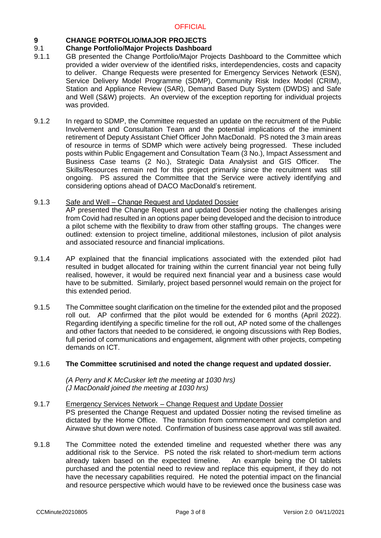### **9 CHANGE PORTFOLIO/MAJOR PROJECTS**

### 9.1 **Change Portfolio/Major Projects Dashboard**

- 9.1.1 GB presented the Change Portfolio/Major Projects Dashboard to the Committee which provided a wider overview of the identified risks, interdependencies, costs and capacity to deliver. Change Requests were presented for Emergency Services Network (ESN), Service Delivery Model Programme (SDMP), Community Risk Index Model (CRIM), Station and Appliance Review (SAR), Demand Based Duty System (DWDS) and Safe and Well (S&W) projects. An overview of the exception reporting for individual projects was provided.
- 9.1.2 In regard to SDMP, the Committee requested an update on the recruitment of the Public Involvement and Consultation Team and the potential implications of the imminent retirement of Deputy Assistant Chief Officer John MacDonald. PS noted the 3 main areas of resource in terms of SDMP which were actively being progressed. These included posts within Public Engagement and Consultation Team (3 No.), Impact Assessment and Business Case teams (2 No.), Strategic Data Analysist and GIS Officer. The Skills/Resources remain red for this project primarily since the recruitment was still ongoing. PS assured the Committee that the Service were actively identifying and considering options ahead of DACO MacDonald's retirement.

### 9.1.3 Safe and Well – Change Request and Updated Dossier

AP presented the Change Request and updated Dossier noting the challenges arising from Covid had resulted in an options paper being developed and the decision to introduce a pilot scheme with the flexibility to draw from other staffing groups. The changes were outlined: extension to project timeline, additional milestones, inclusion of pilot analysis and associated resource and financial implications.

- 9.1.4 AP explained that the financial implications associated with the extended pilot had resulted in budget allocated for training within the current financial year not being fully realised, however, it would be required next financial year and a business case would have to be submitted. Similarly, project based personnel would remain on the project for this extended period.
- 9.1.5 The Committee sought clarification on the timeline for the extended pilot and the proposed roll out. AP confirmed that the pilot would be extended for 6 months (April 2022). Regarding identifying a specific timeline for the roll out, AP noted some of the challenges and other factors that needed to be considered, ie ongoing discussions with Rep Bodies, full period of communications and engagement, alignment with other projects, competing demands on ICT.

### 9.1.6 **The Committee scrutinised and noted the change request and updated dossier.**

*(A Perry and K McCusker left the meeting at 1030 hrs) (J MacDonald joined the meeting at 1030 hrs)*

### 9.1.7 Emergency Services Network – Change Request and Update Dossier PS presented the Change Request and updated Dossier noting the revised timeline as dictated by the Home Office. The transition from commencement and completion and Airwave shut down were noted. Confirmation of business case approval was still awaited.

9.1.8 The Committee noted the extended timeline and requested whether there was any additional risk to the Service. PS noted the risk related to short-medium term actions already taken based on the expected timeline. An example being the OI tablets purchased and the potential need to review and replace this equipment, if they do not have the necessary capabilities required. He noted the potential impact on the financial and resource perspective which would have to be reviewed once the business case was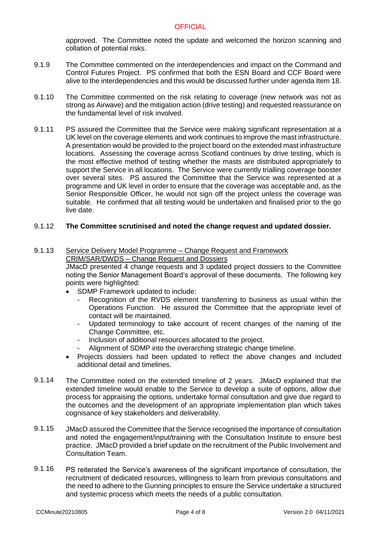approved. The Committee noted the update and welcomed the horizon scanning and collation of potential risks.

- 9.1.9 The Committee commented on the interdependencies and impact on the Command and Control Futures Project. PS confirmed that both the ESN Board and CCF Board were alive to the interdependencies and this would be discussed further under agenda Item 18.
- 9.1.10 The Committee commented on the risk relating to coverage (new network was not as strong as Airwave) and the mitigation action (drive testing) and requested reassurance on the fundamental level of risk involved.
- 9.1.11 PS assured the Committee that the Service were making significant representation at a UK level on the coverage elements and work continues to improve the mast infrastructure. A presentation would be provided to the project board on the extended mast infrastructure locations. Assessing the coverage across Scotland continues by drive testing, which is the most effective method of testing whether the masts are distributed appropriately to support the Service in all locations. The Service were currently trialling coverage booster over several sites. PS assured the Committee that the Service was represented at a programme and UK level in order to ensure that the coverage was acceptable and, as the Senior Responsible Officer, he would not sign off the project unless the coverage was suitable. He confirmed that all testing would be undertaken and finalised prior to the go live date.

### 9.1.12 **The Committee scrutinised and noted the change request and updated dossier.**

### 9.1.13 Service Delivery Model Programme – Change Request and Framework CRIM/SAR/DWDS – Change Request and Dossiers

JMacD presented 4 change requests and 3 updated project dossiers to the Committee noting the Senior Management Board's approval of these documents. The following key points were highlighted:

- SDMP Framework updated to include:
	- Recognition of the RVDS element transferring to business as usual within the Operations Function. He assured the Committee that the appropriate level of contact will be maintained.
	- Updated terminology to take account of recent changes of the naming of the Change Committee, etc.
	- Inclusion of additional resources allocated to the project.
	- Alignment of SDMP into the overarching strategic change timeline.
- Projects dossiers had been updated to reflect the above changes and included additional detail and timelines.
- 9.1.14 The Committee noted on the extended timeline of 2 years. JMacD explained that the extended timeline would enable to the Service to develop a suite of options, allow due process for appraising the options, undertake formal consultation and give due regard to the outcomes and the development of an appropriate implementation plan which takes cognisance of key stakeholders and deliverability.
- 9.1.15 JMacD assured the Committee that the Service recognised the importance of consultation and noted the engagement/input/training with the Consultation Institute to ensure best practice. JMacD provided a brief update on the recruitment of the Public Involvement and Consultation Team.
- 9.1.16 PS reiterated the Service's awareness of the significant importance of consultation, the recruitment of dedicated resources, willingness to learn from previous consultations and the need to adhere to the Gunning principles to ensure the Service undertake a structured and systemic process which meets the needs of a public consultation.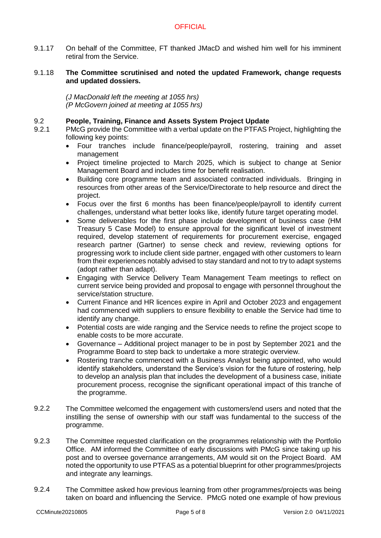- 9.1.17 On behalf of the Committee, FT thanked JMacD and wished him well for his imminent retiral from the Service.
- 9.1.18 **The Committee scrutinised and noted the updated Framework, change requests and updated dossiers.**

*(J MacDonald left the meeting at 1055 hrs) (P McGovern joined at meeting at 1055 hrs)*

### 9.2 **People, Training, Finance and Assets System Project Update**

- 9.2.1 PMcG provide the Committee with a verbal update on the PTFAS Project, highlighting the following key points:
	- Four tranches include finance/people/payroll, rostering, training and asset management
	- Project timeline projected to March 2025, which is subject to change at Senior Management Board and includes time for benefit realisation.
	- Building core programme team and associated contracted individuals. Bringing in resources from other areas of the Service/Directorate to help resource and direct the project.
	- Focus over the first 6 months has been finance/people/payroll to identify current challenges, understand what better looks like, identify future target operating model.
	- Some deliverables for the first phase include development of business case (HM Treasury 5 Case Model) to ensure approval for the significant level of investment required, develop statement of requirements for procurement exercise, engaged research partner (Gartner) to sense check and review, reviewing options for progressing work to include client side partner, engaged with other customers to learn from their experiences notably advised to stay standard and not to try to adapt systems (adopt rather than adapt).
	- Engaging with Service Delivery Team Management Team meetings to reflect on current service being provided and proposal to engage with personnel throughout the service/station structure.
	- Current Finance and HR licences expire in April and October 2023 and engagement had commenced with suppliers to ensure flexibility to enable the Service had time to identify any change.
	- Potential costs are wide ranging and the Service needs to refine the project scope to enable costs to be more accurate.
	- Governance Additional project manager to be in post by September 2021 and the Programme Board to step back to undertake a more strategic overview.
	- Rostering tranche commenced with a Business Analyst being appointed, who would identify stakeholders, understand the Service's vision for the future of rostering, help to develop an analysis plan that includes the development of a business case, initiate procurement process, recognise the significant operational impact of this tranche of the programme.
- 9.2.2 The Committee welcomed the engagement with customers/end users and noted that the instilling the sense of ownership with our staff was fundamental to the success of the programme.
- 9.2.3 The Committee requested clarification on the programmes relationship with the Portfolio Office. AM informed the Committee of early discussions with PMcG since taking up his post and to oversee governance arrangements, AM would sit on the Project Board. AM noted the opportunity to use PTFAS as a potential blueprint for other programmes/projects and integrate any learnings.
- 9.2.4 The Committee asked how previous learning from other programmes/projects was being taken on board and influencing the Service. PMcG noted one example of how previous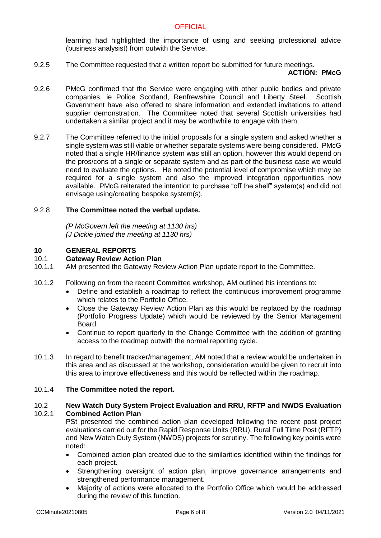learning had highlighted the importance of using and seeking professional advice (business analysist) from outwith the Service.

9.2.5 The Committee requested that a written report be submitted for future meetings.

### **ACTION: PMcG**

- 9.2.6 PMcG confirmed that the Service were engaging with other public bodies and private companies, ie Police Scotland, Renfrewshire Council and Liberty Steel. Scottish Government have also offered to share information and extended invitations to attend supplier demonstration. The Committee noted that several Scottish universities had undertaken a similar project and it may be worthwhile to engage with them.
- 9.2.7 The Committee referred to the initial proposals for a single system and asked whether a single system was still viable or whether separate systems were being considered. PMcG noted that a single HR/finance system was still an option, however this would depend on the pros/cons of a single or separate system and as part of the business case we would need to evaluate the options. He noted the potential level of compromise which may be required for a single system and also the improved integration opportunities now available. PMcG reiterated the intention to purchase "off the shelf" system(s) and did not envisage using/creating bespoke system(s).

### 9.2.8 **The Committee noted the verbal update.**

*(P McGovern left the meeting at 1130 hrs) (J Dickie joined the meeting at 1130 hrs)*

## **10 GENERAL REPORTS**

### 10.1 **Gateway Review Action Plan**

- 10.1.1 AM presented the Gateway Review Action Plan update report to the Committee.
- 10.1.2 Following on from the recent Committee workshop, AM outlined his intentions to:
	- Define and establish a roadmap to reflect the continuous improvement programme which relates to the Portfolio Office.
	- Close the Gateway Review Action Plan as this would be replaced by the roadmap (Portfolio Progress Update) which would be reviewed by the Senior Management Board.
	- Continue to report quarterly to the Change Committee with the addition of granting access to the roadmap outwith the normal reporting cycle.
- 10.1.3 In regard to benefit tracker/management, AM noted that a review would be undertaken in this area and as discussed at the workshop, consideration would be given to recruit into this area to improve effectiveness and this would be reflected within the roadmap.

### 10.1.4 **The Committee noted the report.**

### 10.2 10.2.1 **New Watch Duty System Project Evaluation and RRU, RFTP and NWDS Evaluation Combined Action Plan**

PSt presented the combined action plan developed following the recent post project evaluations carried out for the Rapid Response Units (RRU), Rural Full Time Post (RFTP) and New Watch Duty System (NWDS) projects for scrutiny. The following key points were noted:

- Combined action plan created due to the similarities identified within the findings for each project.
- Strengthening oversight of action plan, improve governance arrangements and strengthened performance management.
- Majority of actions were allocated to the Portfolio Office which would be addressed during the review of this function.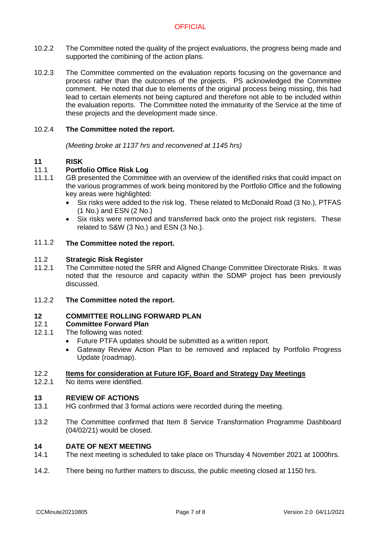- 10.2.2 The Committee noted the quality of the project evaluations, the progress being made and supported the combining of the action plans.
- 10.2.3 The Committee commented on the evaluation reports focusing on the governance and process rather than the outcomes of the projects. PS acknowledged the Committee comment. He noted that due to elements of the original process being missing, this had lead to certain elements not being captured and therefore not able to be included within the evaluation reports. The Committee noted the immaturity of the Service at the time of these projects and the development made since.

### 10.2.4 **The Committee noted the report.**

*(Meeting broke at 1137 hrs and reconvened at 1145 hrs)*

### **11 RISK**

### 11.1 **Portfolio Office Risk Log**

- 11.1.1 GB presented the Committee with an overview of the identified risks that could impact on the various programmes of work being monitored by the Portfolio Office and the following key areas were highlighted:
	- Six risks were added to the risk log. These related to McDonald Road (3 No.), PTFAS (1 No.) and ESN (2 No.)
	- Six risks were removed and transferred back onto the project risk registers. These related to S&W (3 No.) and ESN (3 No.).

### 11.1.2 **The Committee noted the report.**

### 11.2 **Strategic Risk Register**

- 11.2.1 The Committee noted the SRR and Aligned Change Committee Directorate Risks. It was noted that the resource and capacity within the SDMP project has been previously discussed.
- 11.2.2 **The Committee noted the report.**

# **12 COMMITTEE ROLLING FORWARD PLAN**

### 12.1 **Committee Forward Plan**

- 12.1.1 The following was noted:
	- Future PTFA updates should be submitted as a written report.
	- Gateway Review Action Plan to be removed and replaced by Portfolio Progress Update (roadmap).

### 12.2 **Items for consideration at Future IGF, Board and Strategy Day Meetings**

12.2.1 No items were identified.

### **13 REVIEW OF ACTIONS**

- 13.1 HG confirmed that 3 formal actions were recorded during the meeting.
- 13.2 The Committee confirmed that Item 8 Service Transformation Programme Dashboard (04/02/21) would be closed.

### **14 DATE OF NEXT MEETING**

- 14.1 The next meeting is scheduled to take place on Thursday 4 November 2021 at 1000hrs.
- 14.2. There being no further matters to discuss, the public meeting closed at 1150 hrs.